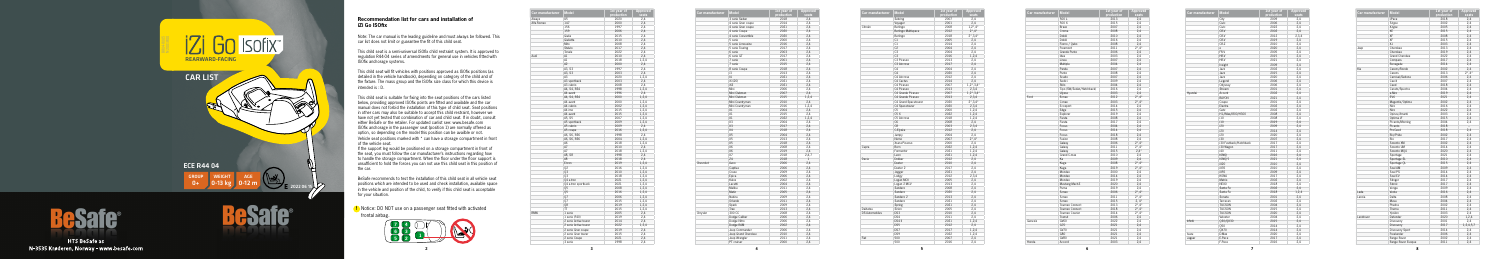**5**



## **Recommendation list for cars and installation of iZi Go ISOfix**

Note: The car manual is the leading guideline and must always be followed. This car list does not limit or guarantee the fit of this child seat.

This child seat is a semi-universal ISOfix child restraint system. It is approved to regulation R44-04 series of amendments for general use in vehicles fitted with ISOfix anchorage systems.

This child seat will fit vehicles with positions approved as ISOfix positions (as detailed in the vehicle handbook), depending on category of the child and of the fixture. The mass group and the ISOfix size class for which this device is intended is : D.

If the support leg would be positioned on a storage compartment in front of the seat, you must follow the car manufacturer's instructions regarding how to handle the storage compartment. When the floor under the floor support is unsufficient to hold the forces you can not use this child seat in this position of the car.

This child seat is suitable for fixing into the seat positions of the cars listed below, providing approved ISOfix points are fitted and available and the car manual does not forbid the installation of this type of child seat. Seat position in other cars may also be suitable to accept this child restraint, however we have not yet tested that combination of car and child seat. If in doubt, consult either BeSafe or the retailer. For updated carlist see: www.besafe.com ISOfix anchorage in the passenger seat (position 1) are normally offered as option, so depending on the model this position can be availble or not. Vehicle seat positions marked with \* can have a storage compartment in front of the vehicle seat.

BeSafe recommends to test the installation of this child seat in all vehicle seat positions which are intended to be used and check installation, available space in the vehicle and position of the child, to verify if this child seat is acceptable for your situation.





**HTS BeSafe as** N-3535 Krøderen, Norway - www.besafe.com **!** Notice: DO NOT use on a passenger seat fitted with activated frontal airbag.

| Car manufacturer | <b>Model</b>          | 1st year of  | <b>Approved</b> |
|------------------|-----------------------|--------------|-----------------|
|                  |                       | production   | seats           |
| Aiways           | U <sub>5</sub>        | 2020         | 2,4             |
| Alfa Romeo       | 147                   | 2000         | 2,4             |
|                  | 156                   | 1997         | 2,4             |
|                  | 159                   | 2006         | 2,4             |
|                  | Giulia                | 2015         | 2,4             |
|                  | Giulietta             | 2010         | 2,4             |
|                  | Mito                  | 2008         | 2,4             |
|                  | Stelvio               | 2017         | 2,4             |
|                  | Tonale                | 2022         | 2,4             |
| Audi             | A1                    | 2010         | 2,4             |
|                  | A1                    | 2018         | 1,2,4           |
|                  | A2                    | 2000         | 2,4             |
|                  | A3. S3                | 1997         | 2,4             |
|                  | A3, S3                | 2003         | 2,4             |
|                  | A <sub>3</sub>        | 2020         | 1,2,4           |
|                  |                       |              |                 |
|                  | A3 sportback          | 2003         | 2,4             |
|                  | A3 cabrio             | 2008         | 2,4             |
|                  | A4, S4, RS4           | 1998         | 1,2,4           |
|                  | A4 avant              | 1996         | 2,4             |
|                  | A4, S4, RS4           | 2000         | 1,2,4           |
|                  | A4 avant              | 2000         | 1,2,4           |
|                  | A4 cabrio             | 2002         | 1,2,4           |
|                  | A4 imo                | 2015         | 1,2,4           |
|                  | A4 avant              | 2015         | 1,2,4           |
|                  | A5, S5                | 2007         | 1,2,4           |
|                  | A5 sportback          | 2009         | 1,2,4           |
|                  | A5 cabrio             | 2009         | 2,4             |
|                  | A5 coupe              | 2016         | 1,2,4           |
|                  | A6, S6, RS6           | 1998         | 2,4             |
|                  | A6, S6, RS6           | 2004         | 1,2,4           |
|                  | A6                    | 2018         | 1,2,4           |
|                  | A7                    | 2010         | 2,4             |
|                  | A7                    |              | 1,2,4           |
|                  | A8, S8                | 2018<br>1998 |                 |
|                  |                       |              | 2,4             |
|                  | A8                    | 2018         | 2,4             |
|                  | E-tron                | 2019         | 1,2,4           |
|                  | 02                    | 2016         | 1,2,4           |
|                  | Q3                    | 2010         | 1,2,4           |
|                  | 03                    | 2018         | 1,2,4           |
|                  | 04 e-tron             | 2021         | 1,2,4           |
|                  | Q4 e-tron sportback   | 2021         | 1,2,4           |
|                  | 05                    | 2008         | 1,2,4           |
|                  | Q5                    | 2016         | 1,2,4           |
|                  | Q7                    | 2006         | 1,2,4           |
|                  | Q7                    | 2015         | 1,2,4           |
|                  | 80                    | 2019         | 1,2,4           |
|                  | <b>TT</b>             | 2015         | 1,2,4           |
| <b>BMW</b>       | 1 serie               | 2005         | 2,4             |
|                  | 1 serie (F40)         | 2019         | 2,4             |
|                  | 2 serie Active tourer | 2014         | 2,4             |
|                  | 2 serie Active tourer | 2022         | 1,2,4           |
|                  |                       |              |                 |
|                  | 2 serie Gran coupe    | 2019         | 2,4             |
|                  | 2 serie Gran tourer   | 2015         | 2,4             |
|                  | 2 serie Coupe         | 2021         | 2,4             |
|                  | 3 serie               | 1998         | 2,4             |
|                  |                       |              |                 |

| Car manufacturer | <b>Model</b>        | 1st year of | <b>Approved</b> |
|------------------|---------------------|-------------|-----------------|
|                  |                     | production  | seats           |
|                  | 3 serie Sedan       | 2018        | 2,4             |
|                  | 4 serie Gran coupe  | 2014        | 2,4             |
|                  | 4 serie Gran coupe  | 2021        | 2,4             |
|                  | 4 serie Coupe       | 2020        | 2,4             |
|                  | 4 serie Convertible | 2020        | 2,4             |
|                  | 5 serie             | 2000        | 2,4             |
|                  | 5 serie Limousine   | 2016        | 2,4             |
|                  | 5 serie Touring     | 2017        | 2,4             |
|                  | 6 serie             | 2003        | 2,4             |
|                  | 6 serie GT          | 2017        | 2,4             |
|                  | 7 serie             | 2001        | 2,4             |
|                  | 7 serie             | 2015        | 2,4             |
|                  | 8 serie Coupe       | 2018        | 2,4             |
|                  | i3                  | 2013        | 2,4             |
|                  | 4                   | 2021        | 2,4             |
|                  | iX (i20)            | 2021        | 2,4             |
|                  | iX3                 | 2021        | 2,4             |
|                  | Mini                | 2006        | 2.4             |
|                  | Mini Clubman        | 2007        | 2,4             |
|                  | Mini Clubman        | 2015        | 1,2,4           |
|                  | Mini Countryman     | 2010        | 2,4             |
|                  | Mini Countryman     | 2016        | 1,2,4           |
|                  | X1                  | 2004        | 2,4             |
|                  | X1                  | 2015        | 2,4             |
|                  | X1                  | 2022        |                 |
|                  |                     |             | 1,2,4           |
|                  | X <sub>3</sub>      | 2004        | 2,4             |
|                  | X <sub>3</sub>      | 2017        | 2,4             |
|                  | X4                  | 2018        | 2,4             |
|                  | X <sub>5</sub>      | 2004        | 2,4             |
|                  | X5                  | 2013        | 2,4             |
|                  | X5                  | 2018        | 2,4             |
|                  | X6                  | 2008        | 2,4             |
|                  | X6                  | 2019        | 2,4             |
|                  | <b>X7</b>           | 2018        | 2,4,7           |
|                  | 74                  | 2018        | $\mathbf{1}$    |
| Chevrolet        | Aveo                | 2006        | 2.4             |
|                  | Captiva             | 2006        | 2,4             |
|                  | Cruze               | 2009        | 2,4             |
|                  | Epica               | 2006        | 2,4             |
|                  | Kalos               | 2002        | 2,4             |
|                  | I acetti            | 2004        | 2,4             |
|                  | Malibu              | 2011        | 2,4             |
|                  | Matiz               | 2005        | 2,4             |
|                  | Nubira              | 2009        | 2,4             |
|                  | Orlando             | 2011        | 2,4             |
|                  | Spark               | 2009        | 2,4             |
|                  | Trax                | 2013        | 2,4             |
| Chrysler         | 300 CC              | 2008        | 2,4             |
|                  |                     | 2006        |                 |
|                  | Dodge Caliber       |             | 2,4             |
|                  | Dodge Nitro         | 2006        | 2,4             |
|                  | Dodge RAM           | 2002        | 2,4             |
|                  | Jeep Commander      | 2006        | 2,4             |
|                  | Jeep Grand Cherokee | 2010        | 2,4             |
|                  | Jeep Wrangler       | 2011        | 2,4             |
|                  | PT cruiser          | 2000        | 2,4             |

| Car manufacturer      | <b>Model</b>               | 1st year of<br>production | <b>Approved</b><br>seats       |
|-----------------------|----------------------------|---------------------------|--------------------------------|
|                       | Sebring                    | 2007                      | 2,4                            |
|                       | Voyager                    | 2001                      | 2,4                            |
| Citroën               | Berlingo                   | 2008                      | $1,2^*$ , 4*                   |
|                       | <b>Berlingo Multispace</b> | 2012                      | $2^*$ , 4*                     |
|                       | Berlingo                   | 2018                      | $2^{\star}$ , 3,4 $^{\star}$   |
|                       | C1                         | 2005                      | 2,4                            |
|                       | C1                         | 2014                      | 2,4                            |
|                       | C2                         | 2004                      | 2,4                            |
|                       | C <sub>3</sub>             | 2004                      | 2.4                            |
|                       | C <sub>3</sub>             | 2016                      | 1,2,4                          |
|                       | C3 Picasso                 | 2013                      |                                |
|                       | C3 Aircross                | 2017                      | 2,4<br>2,4                     |
|                       | C <sub>4</sub>             | 2004                      |                                |
|                       | C <sub>4</sub>             |                           | 2,4                            |
|                       |                            | 2020                      | 2,4                            |
|                       | C4 Aircross                | 2012                      | 2,4                            |
|                       | C4 Cactus                  | 2014                      | 2,4                            |
|                       | C4 Picasso                 | 2007                      | $1,2^{\star},3,4^{\star}$      |
|                       | C4 Picasso                 | 2013                      | 2,3,4                          |
|                       | C4 Grande Picasso          | 2007                      | $1,2^{\star}$ , 3,4 $^{\star}$ |
|                       | C4 Grande Picasso          | 2013                      | 2,3,4                          |
|                       | C4 Grand Spacetourer       | 2020                      | $2^{\star}$ , 3,4 $^{\star}$   |
|                       | C4 Spacetourer             | 2020                      | 2,3,4                          |
|                       | C <sub>5</sub>             | 2000                      | 1,2,4                          |
|                       | C5X                        | 2022                      | 1,2,4                          |
|                       | C5 Aircross                | 2018                      | 1,2,4                          |
|                       | C <sub>6</sub>             | 2008                      | 2,4                            |
|                       | C <sub>8</sub>             | 2003                      | 2,3,4                          |
|                       | C-Elysée                   | 2012                      | 2,4                            |
|                       | Jumpy                      | 2004                      | 2,4                            |
|                       | Nemo                       | 2007                      | $2^{\star}$ ,4 $^{\star}$      |
|                       | Xsara Picasso              | 2000                      | 2,4                            |
| Cupra                 | Born                       | 2022                      | 1,2,4                          |
|                       | Formentor                  | 2021                      | 1,2,4                          |
|                       | Leon                       | 2021                      | 1,2,4                          |
| Dacia                 | Dokker                     | 2012                      | 2,4                            |
|                       | Duster                     | 2010                      | 2,4                            |
|                       | Duster <sub>2</sub>        | 2017                      | 2,4                            |
|                       | Jogger                     | 2021                      | 2,4                            |
|                       | Lodgy                      | 2012                      | 2,3,4                          |
|                       | Logan MCV                  | 2005                      | 2,4                            |
|                       | Logan 2 MCV                | 2013                      | 2,4                            |
|                       | Sandero                    | 2008                      |                                |
|                       | Sandero                    | 2020                      | 2,4<br>2,4                     |
|                       | Sandero 2                  | 2013                      | 2,4                            |
|                       | Sandero                    | 2021                      | 2,4                            |
|                       |                            |                           |                                |
|                       | Spring                     | 2021                      | 2,4                            |
| Daihatsu              | Sirion                     | 2005                      | 2,4                            |
| <b>DS Automobiles</b> | DS3                        | 2010                      | 2,4                            |
|                       | DS4                        | 2011                      | 2,4                            |
|                       | DS4 II                     | 2021                      | 1,2,4                          |
|                       | DS <sub>5</sub>            | 2012                      | 2,4                            |
|                       | DS7                        | 2017                      | 1,2,4                          |
|                       | DS <sub>9</sub>            | 2022                      | 1,2,4                          |
| Fiat                  | 500                        | 2007                      | 2,4                            |
|                       | 500                        | 2016                      | 2,4                            |

| Car manufacturer | <b>Model</b>              | 1st year of | <b>Appro</b> |
|------------------|---------------------------|-------------|--------------|
|                  |                           | production  | seat         |
|                  | 500L                      | 2013        | 2,4          |
|                  | 500 X                     | 2015        | 2,4          |
|                  | Bravo                     | 2007        | 2,4          |
|                  | Croma                     | 2008        | 2,4          |
|                  | Doblò                     | 2010        | 2,4          |
|                  | Doblò                     | 2016        | 2,4          |
|                  | Fiorno / Qubo             | 2008        | 2,4          |
|                  | Freemont                  | 2011        | $2^*$ ,4     |
|                  | Grande Punto              | 2006        | 2,4          |
|                  | Idea                      | 2003        | 2,4          |
|                  | Linea                     | 2007        | 2,4          |
|                  | Multipla                  | 2004        | 2,4          |
|                  | Panda                     | 2007        | 2,4          |
|                  | Punto                     | 2008        | 2,4          |
|                  | Scudo                     | 2007        | 2,4          |
|                  | Sedici                    | 2009        | 2,4          |
|                  | Stilo                     | 2004        | 2,4          |
|                  | Tipo (SW/Sedan/Hatchback) | 2016        | 2,4          |
|                  | Ulysse                    | 2003        | 2,4          |
| Ford             | B-max                     | 2012        | 2*,4         |
|                  | C-max                     | 2003        | $2^*$ ,4     |
|                  |                           |             |              |
|                  | Ecosport                  | 2014        | 2,4          |
|                  | Edge                      | 2015        | 2,4          |
|                  | Explorer                  | 2019        | 2,4          |
|                  | Fiesta                    | 2008        | 2,4          |
|                  | Fiesta                    | 2017        | 2,4          |
|                  | Focus                     | 2004        | 2,4          |
|                  | Focus                     | 2014        | 2,4          |
|                  | Focus                     | 2018        | 2,4          |
|                  | Fusion                    | 2008        | 2,4          |
|                  | Galaxy                    | 2006        | $2^*$ ,4     |
|                  | Galaxy                    | 2011        | $2^*$ .4     |
|                  | Galaxy                    | 2015        | 2,4'         |
|                  | Grand C-max               | 2010        | 2,4          |
|                  | Ka                        | 2009        | 2,4          |
|                  | Kuga                      | 2008        | $2^*$ .4     |
|                  | Kuga                      | 2019        | $2^*$ ,4     |
|                  | Mondeo                    | 2000        | 2,4          |
|                  | Mondeo                    | 2014        | 2,4          |
|                  | Mondeo                    | 2019        | 2,4          |
|                  | Mustang Mach-E            | 2020        | 2,4          |
|                  | Puma                      | 2019        | 2,4          |
|                  | S-max                     | 2006        | $2^*$ ,4     |
|                  | S-max                     | 2011        | $2^*$ .4     |
|                  |                           |             |              |
|                  | S-max                     | 2015        | 2,4          |
|                  | Tourneo Connect           | 2013        | $2^*$ .4     |
|                  | Tourneo Connect           | 2018        | 2,4          |
|                  | Tourneo Courier           | 2014        | $2^*$ ,4     |
|                  | Transit                   | 2006        | 2,4          |
| Genesis          | GV60                      | 2022        | 2,4          |
|                  | G70                       | 2021        | 2,4          |
|                  | GV70                      | 2021        | 2,4          |
|                  | G80                       | 2021        | 2,4          |
|                  | GV80                      | 2021        | 2,4          |
| Honda            | Accord                    | 2003        | 2,4          |

| Model                     | 1st year of<br>production | Approved<br>seats         |
|---------------------------|---------------------------|---------------------------|
| 500 L                     | 2013                      | 2,4                       |
| 500 X                     | 2015                      | 2,4                       |
| Bravo                     | 2007                      | 2,4                       |
| Croma                     | 2008                      | 2,4                       |
| Doblò                     | 2010                      | 2,4                       |
| Doblò                     | 2016                      | 2,4                       |
| Fiorno / Qubo             | 2008                      | 2,4                       |
| Freemont                  | 2011                      | $2^*$ ,4*                 |
| Grande Punto              | 2006                      | 2,4                       |
| Idea                      | 2003                      | 2,4                       |
| Linea                     | 2007                      |                           |
| Multipla                  | 2004                      | 2,4<br>2,4                |
| Panda                     | 2007                      | 2,4                       |
|                           |                           |                           |
| Punto                     | 2008                      | 2,4                       |
| Scudo                     | 2007                      | 2,4                       |
| Sedici                    | 2009                      | 2,4                       |
| Stilo                     | 2004                      | 2,4                       |
| Tipo (SW/Sedan/Hatchback) | 2016                      | 2,4                       |
| Ulysse                    | 2003                      | 2.4                       |
| B-max                     | 2012                      | $2^{\star}$ ,4 $^{\star}$ |
| C-max                     | 2003                      | $2^{\star}$ ,4 $^{\star}$ |
| Ecosport                  | 2014                      | 2,4                       |
| Edge                      | 2015                      | 2,4                       |
| Explorer                  | 2019                      | 2,4                       |
| Fiesta                    | 2008                      | 2,4                       |
| Fiesta                    | 2017                      | 2,4                       |
| Focus                     | 2004                      | 2,4                       |
| Focus                     | 2014                      | 2,4                       |
| Focus                     | 2018                      | 2,4                       |
| Fusion                    | 2008                      | 2,4                       |
| Galaxy                    | 2006                      | $2^*$ .4*                 |
| Galaxy                    | 2011                      | $2^*$ .4*                 |
| Galaxy                    | 2015                      | $2.4*$                    |
| Grand C-max               | 2010                      | 2,4                       |
| Ka                        | 2009                      | 2,4                       |
| Kuga                      | 2008                      | $2^*$ ,4*                 |
| Kuga                      | 2019                      | $2^*$ ,4*                 |
| Mondeo                    | 2000                      | 2,4                       |
| Mondeo                    | 2014                      | 2,4                       |
| Mondeo                    | 2019                      | 2,4                       |
| Mustang Mach-E            | 2020                      | 2,4                       |
| Puma                      | 2019                      | 2,4                       |
| S-max                     | 2006                      | $2^{\star}$ ,4 $^{\star}$ |
| S-max                     | 2011                      | $2^*$ .4*                 |
| S-max                     | 2015                      | $2,4^*$                   |
| Tourneo Connect           | 2013                      | $2^*$ ,4*                 |
| Tourneo Connect           |                           |                           |
| Tourneo Courier           | 2018<br>2014              | $2^*$ ,4*<br>$2^*$ , 4*   |
|                           |                           |                           |
| Transit                   | 2006                      | 2,4                       |
| GV60                      | 2022                      | 2,4                       |
| G70                       | 2021                      | 2,4                       |
| GV70                      | 2021                      | 2,4                       |
| G80                       | 2021                      | 2,4                       |
| GV80                      | 2021                      | 2,4                       |
| Accord                    | 2003                      | 2,4                       |
|                           |                           |                           |

|                  | <b>Model</b>           | 1st year of | <b>Approved</b> |
|------------------|------------------------|-------------|-----------------|
| Car manufacturer |                        | production  | seats           |
|                  | City                   | 2009        | 2,4             |
|                  | Civic                  | 2006        | 2,4             |
|                  | Civic                  | 2022        | 2,4             |
|                  | CR-V                   | 2002        | 2.4             |
|                  | CR-V                   | 2012        | 2,3,4           |
|                  | CR-V                   | 2019        | 2,4             |
|                  | CR-Z                   | 2010        | 2,4             |
|                  | e                      | 2020        | 2,4             |
|                  | FR-V                   | 2005        | 2,4             |
|                  | HR-V                   | 2015        | 2,4             |
|                  | HR-V                   | 2021        | 2,4             |
|                  | Insight                | 2009        | 2,4             |
|                  | Jazz                   | 2002        | 2,4             |
|                  | Jazz                   | 2015        | 2,4             |
|                  | Jazz                   | 2020        | 2,4             |
|                  | Legend                 | 2006        | 2,4             |
|                  | Odyssey                | 2006        | 2,4             |
|                  | Stream                 | 2001        | 2,4             |
| Hyundai          | Accent                 | 2002        | 2,4             |
|                  | <b>BAYON</b>           | 2021        | 2,4             |
|                  | Coupe                  | 2001        | 2,4             |
|                  | Elantra                | 2002        | 2,4             |
|                  | Getz                   | 2002        | 2,4             |
|                  | H1/iMax/i800/H300      | 2008        | 2,4             |
|                  | i10                    | 2008        | 2,4             |
|                  | i10                    | 2019        | 2,4             |
|                  | i20                    | 2009        | 2,4             |
|                  | i20                    | 2014        | 2,4             |
|                  | i20                    | 2020        | 2,4             |
|                  | i30                    | 2007        | 2,4             |
|                  | i30 Fastback/Hatchback | 2017        | 2,4             |
|                  | i30 Wagon              | 2017        | 2,4             |
|                  |                        | 2011        |                 |
|                  | i40                    |             | 2,4             |
|                  | <b>IONIO</b>           | 2016        | 2,4             |
|                  | IONIO 5                | 2021        | 2,4             |
|                  | iX20                   | 2010        | 2.4             |
|                  | iX35                   | 2010        | 2,4             |
|                  | iX55                   | 2009        | 2,4             |
|                  | KONA                   | 2017        | 2,4             |
|                  | Matrix                 | 2002        | 2,4             |
|                  | <b>NEXO</b>            | 2018        | 2,4             |
|                  | Santa Fe               | 2002        | 2,4             |
|                  | Santa Fe               | 2018        | 1,2,4           |
|                  | Sonata                 | 2001        | 2,4             |
|                  | Terracan               | 2002        | 2,4             |
|                  | <b>TUCSON</b>          | 2004        | 2,4             |
|                  | <b>TUCSON</b>          | 2015        | 2,4             |
|                  | <b>TUCSON</b>          | 2020        | 2,4             |
|                  | Veloster               | 2004        | 2,4             |
| Infiniti         | 030/0X30               | 2015        | 2,4             |
|                  | 050                    | 2014        | 2,4             |
|                  | <b>OX70</b>            | 2014        | 2,4             |
| Isuzu            | D-Max                  | 2020        | 2,4             |
| Jaguar           | E-Pace                 | 2017        | 2,4             |
|                  | F-Pace                 | 2016        | 2,4             |

| Car manufacturer | <b>Model</b>          | 1st year of<br>production | Approved<br>seats         |
|------------------|-----------------------|---------------------------|---------------------------|
|                  | <b>I-Pace</b>         | 2018                      | 2,4                       |
|                  | S-type                | 2002                      | 2,4                       |
|                  |                       | 2005                      | 2,4                       |
|                  | X-type<br>XE          | 2015                      |                           |
|                  | XF                    |                           | 2,4                       |
|                  |                       | 2008                      | 2,4                       |
|                  | XF                    | 2015                      | 2,4                       |
|                  | χJ                    | 2003                      | 2,4                       |
| Jeep             | Cherokee              | 2013                      | 2,4                       |
|                  | Cherokee              | 2019                      | 2,4                       |
|                  | <b>Grand Cherokee</b> | 2022                      | 2,4                       |
|                  | Compass               | 2017                      | 2,4                       |
|                  | Renegade              | 2014                      | 2,4                       |
| Kia              | Carens/Rondo          | 2002                      | 2,4                       |
|                  | Carens                | 2013                      | $2^{\star}$ ,4 $^{\star}$ |
|                  | Carnival/Sedona       | 2006                      | 2,4                       |
|                  | Cee'd                 | 2007                      | 2,4                       |
|                  | Ceed                  | 2018                      | 2,4                       |
|                  | Cerato/Spectra        | 2004                      | 2,4                       |
|                  | e-Niro                | 2019                      | 2,4                       |
|                  | EV <sub>6</sub>       | 2021                      | 2,4                       |
|                  | Magentis/Optima       | 2002                      | 2.4                       |
|                  | Niro                  | 2016                      | 2,4                       |
|                  | Niro                  | 2022                      | 2,4                       |
|                  | Opirus/Amanti         | 2003                      | 2,4                       |
|                  | Optima JF             | 2015                      | 2,4                       |
|                  | Picanto/Morning       | 2004                      | 2,4                       |
|                  | Picanto               | 2018                      | $\overline{\phantom{a}}$  |
|                  | ProCeed               |                           | 2,4                       |
|                  |                       | 2018                      |                           |
|                  | Rio/Pride             | 2002                      | 2,4                       |
|                  | Rio                   | 2017                      | 2,4                       |
|                  | Sorento XM            | 2002                      | 2,4                       |
|                  | Sorento UM            | 2014                      | 2,4                       |
|                  | Sorento MO4           | 2020                      | 2,4                       |
|                  | Sportage              | 2021                      | 2,4                       |
|                  | Sportage SL           | 2010                      | 2,4                       |
|                  | Sportage QL           | 2015                      | 2,4                       |
|                  | Soul AM               | 2009                      | 2,4                       |
|                  | Soul PS               | 2014                      | 2,4                       |
|                  | Soul EV               | 2014                      | 2,4                       |
|                  | Stinger               | 2017                      | 2,4                       |
|                  | Stonic                | 2017                      | 2,4                       |
|                  | Venga                 | 2009                      | 2,4                       |
| Lada             | Vesta                 | 2016                      | 2,4                       |
| Lancia           | Delta                 | 2008                      | 2.4                       |
|                  | Musa                  | 2004                      | 2,4                       |
|                  | Phedra                | 2002                      | 2,4                       |
|                  | Thema                 | 2011                      | 2,4                       |
|                  | Ypsilon               | 2003                      | 2,4                       |
| Landrover        | Defender              | 2020                      | 1,2,4                     |
|                  | Discovery             | 2001                      | 2,4                       |
|                  | Discovery             | 2017                      | 1,2,4,5,7                 |
|                  | Discovery Sport       | 2014                      | 2,4                       |
|                  |                       | 2006                      |                           |
|                  | Freelander            |                           | 2,4                       |
|                  | Range Rover           | 2002<br>2011              | 2,4<br>2.4                |
|                  | Range Rover Evoque    |                           |                           |